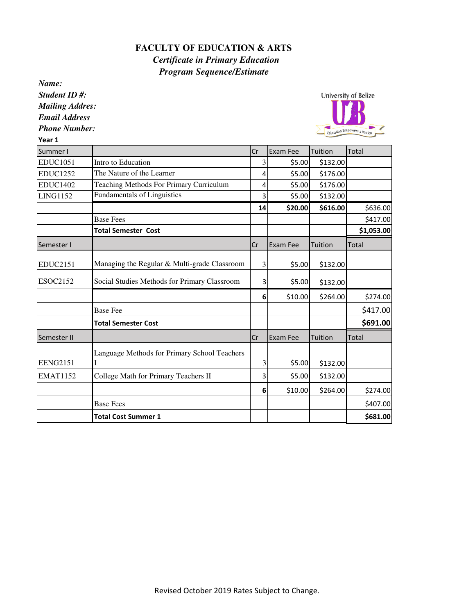## **FACULTY OF EDUCATION & ARTS**   *Certificate in Primary Education Program Sequence/Estimate*

*Name:*

*Student ID #: Mailing Addres: Email Address*

*Phone Number:*

Year 1



| Summer I        |                                              | Cr | Exam Fee | Tuition  | Total        |
|-----------------|----------------------------------------------|----|----------|----------|--------------|
| <b>EDUC1051</b> | Intro to Education                           | 3  | \$5.00   | \$132.00 |              |
| <b>EDUC1252</b> | The Nature of the Learner                    | 4  | \$5.00   | \$176.00 |              |
| <b>EDUC1402</b> | Teaching Methods For Primary Curriculum      | 4  | \$5.00   | \$176.00 |              |
| <b>LING1152</b> | Fundamentals of Linguistics                  | 3  | \$5.00   | \$132.00 |              |
|                 |                                              | 14 | \$20.00  | \$616.00 | \$636.00     |
|                 | <b>Base Fees</b>                             |    |          |          | \$417.00     |
|                 | <b>Total Semester Cost</b>                   |    |          |          | \$1,053.00   |
| Semester I      |                                              | Cr | Exam Fee | Tuition  | <b>Total</b> |
| <b>EDUC2151</b> | Managing the Regular & Multi-grade Classroom | 3  | \$5.00   | \$132.00 |              |
| ESOC2152        | Social Studies Methods for Primary Classroom | 3  | \$5.00   | \$132.00 |              |
|                 |                                              | 6  | \$10.00  | \$264.00 | \$274.00     |
|                 | <b>Base Fee</b>                              |    |          |          | \$417.00     |
|                 | <b>Total Semester Cost</b>                   |    |          |          | \$691.00     |
| Semester II     |                                              | Cr | Exam Fee | Tuition  | <b>Total</b> |
| <b>EENG2151</b> | Language Methods for Primary School Teachers | 3  | \$5.00   | \$132.00 |              |
| <b>EMAT1152</b> | College Math for Primary Teachers II         | 3  | \$5.00   | \$132.00 |              |
|                 |                                              | 6  | \$10.00  | \$264.00 | \$274.00     |
|                 | <b>Base Fees</b>                             |    |          |          | \$407.00     |
|                 | <b>Total Cost Summer 1</b>                   |    |          |          | \$681.00     |